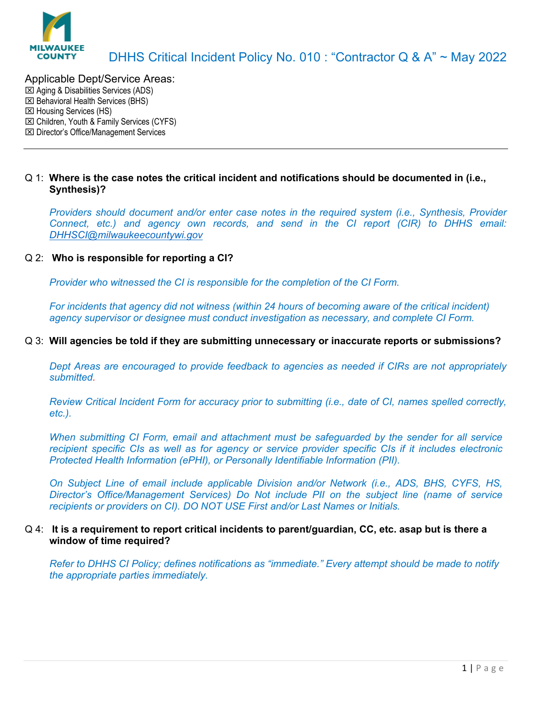

# Applicable Dept/Service Areas:

Aging & Disabilities Services (ADS)

- Behavioral Health Services (BHS)
- **EXI Housing Services (HS)**
- Children, Youth & Family Services (CYFS)
- Director's Office/Management Services

# Q 1: **Where is the case notes the critical incident and notifications should be documented in (i.e., Synthesis)?**

*Providers should document and/or enter case notes in the required system (i.e., Synthesis, Provider Connect, etc.) and agency own records, and send in the CI report (CIR) to DHHS email: [DHHSCI@milwaukeecountywi.gov](mailto:DHHSCI@milwaukeecountywi.gov)*

# Q 2: **Who is responsible for reporting a CI?**

*Provider who witnessed the CI is responsible for the completion of the CI Form.*

*For incidents that agency did not witness (within 24 hours of becoming aware of the critical incident) agency supervisor or designee must conduct investigation as necessary, and complete CI Form.*

# Q 3: **Will agencies be told if they are submitting unnecessary or inaccurate reports or submissions?**

*Dept Areas are encouraged to provide feedback to agencies as needed if CIRs are not appropriately submitted.*

*Review Critical Incident Form for accuracy prior to submitting (i.e., date of CI, names spelled correctly, etc.).*

*When submitting CI Form, email and attachment must be safeguarded by the sender for all service recipient specific CIs as well as for agency or service provider specific CIs if it includes electronic Protected Health Information (ePHI), or Personally Identifiable Information (PII).*

*On Subject Line of email include applicable Division and/or Network (i.e., ADS, BHS, CYFS, HS, Director's Office/Management Services) Do Not include PII on the subject line (name of service recipients or providers on CI). DO NOT USE First and/or Last Names or Initials.*

### Q 4: **It is a requirement to report critical incidents to parent/guardian, CC, etc. asap but is there a window of time required?**

*Refer to DHHS CI Policy; defines notifications as "immediate." Every attempt should be made to notify the appropriate parties immediately.*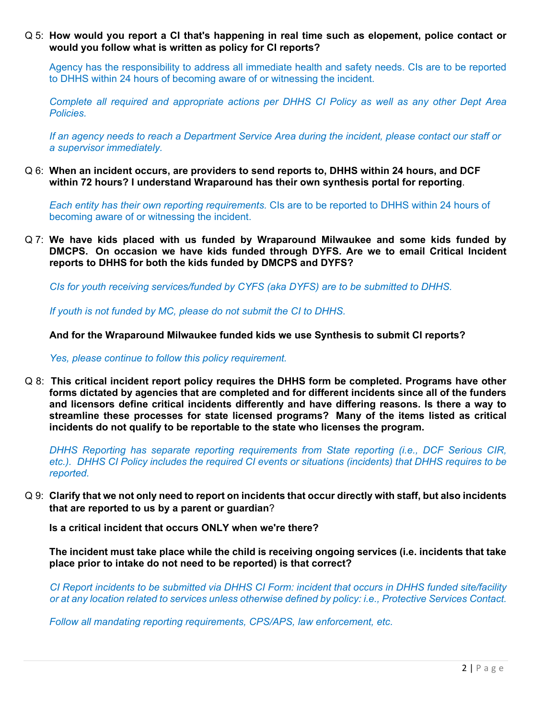Q 5: **How would you report a CI that's happening in real time such as elopement, police contact or would you follow what is written as policy for CI reports?**

Agency has the responsibility to address all immediate health and safety needs. CIs are to be reported to DHHS within 24 hours of becoming aware of or witnessing the incident.

*Complete all required and appropriate actions per DHHS CI Policy as well as any other Dept Area Policies.*

*If an agency needs to reach a Department Service Area during the incident, please contact our staff or a supervisor immediately.*

Q 6: **When an incident occurs, are providers to send reports to, DHHS within 24 hours, and DCF within 72 hours? I understand Wraparound has their own synthesis portal for reporting**.

*Each entity has their own reporting requirements.* CIs are to be reported to DHHS within 24 hours of becoming aware of or witnessing the incident.

Q 7: **We have kids placed with us funded by Wraparound Milwaukee and some kids funded by DMCPS. On occasion we have kids funded through DYFS. Are we to email Critical Incident reports to DHHS for both the kids funded by DMCPS and DYFS?**

*CIs for youth receiving services/funded by CYFS (aka DYFS) are to be submitted to DHHS.*

*If youth is not funded by MC, please do not submit the CI to DHHS.* 

**And for the Wraparound Milwaukee funded kids we use Synthesis to submit CI reports?**

*Yes, please continue to follow this policy requirement.*

Q 8: **This critical incident report policy requires the DHHS form be completed. Programs have other forms dictated by agencies that are completed and for different incidents since all of the funders and licensors define critical incidents differently and have differing reasons. Is there a way to streamline these processes for state licensed programs? Many of the items listed as critical incidents do not qualify to be reportable to the state who licenses the program.**

*DHHS Reporting has separate reporting requirements from State reporting (i.e., DCF Serious CIR, etc.). DHHS CI Policy includes the required CI events or situations (incidents) that DHHS requires to be reported.*

Q 9: **Clarify that we not only need to report on incidents that occur directly with staff, but also incidents that are reported to us by a parent or guardian**?

**Is a critical incident that occurs ONLY when we're there?**

**The incident must take place while the child is receiving ongoing services (i.e. incidents that take place prior to intake do not need to be reported) is that correct?**

*CI Report incidents to be submitted via DHHS CI Form: incident that occurs in DHHS funded site/facility or at any location related to services unless otherwise defined by policy: i.e., Protective Services Contact.*

*Follow all mandating reporting requirements, CPS/APS, law enforcement, etc.*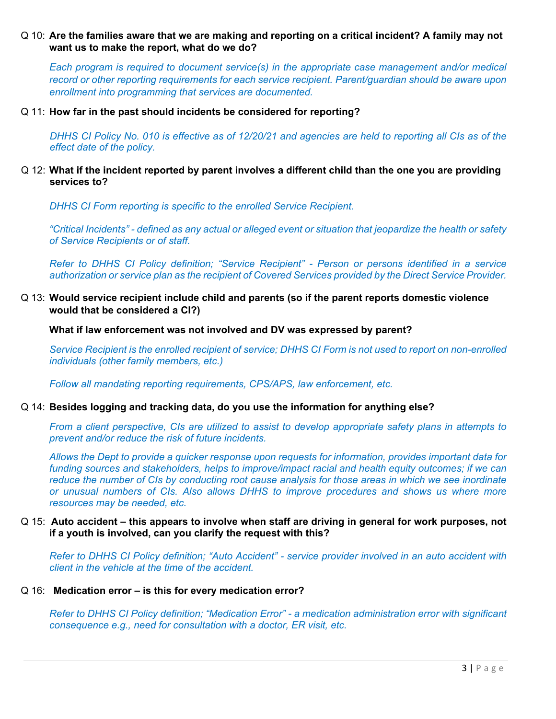# Q 10: **Are the families aware that we are making and reporting on a critical incident? A family may not want us to make the report, what do we do?**

*Each program is required to document service(s) in the appropriate case management and/or medical record or other reporting requirements for each service recipient. Parent/guardian should be aware upon enrollment into programming that services are documented.*

#### Q 11: **How far in the past should incidents be considered for reporting?**

*DHHS CI Policy No. 010 is effective as of 12/20/21 and agencies are held to reporting all CIs as of the effect date of the policy.*

# Q 12: **What if the incident reported by parent involves a different child than the one you are providing services to?**

*DHHS CI Form reporting is specific to the enrolled Service Recipient.*

*"Critical Incidents" - defined as any actual or alleged event or situation that jeopardize the health or safety of Service Recipients or of staff.*

*Refer to DHHS CI Policy definition; "Service Recipient" - Person or persons identified in a service authorization or service plan as the recipient of Covered Services provided by the Direct Service Provider.*

Q 13: **Would service recipient include child and parents (so if the parent reports domestic violence would that be considered a CI?)**

**What if law enforcement was not involved and DV was expressed by parent?**

*Service Recipient is the enrolled recipient of service; DHHS CI Form is not used to report on non-enrolled individuals (other family members, etc.)*

*Follow all mandating reporting requirements, CPS/APS, law enforcement, etc.* 

### Q 14: **Besides logging and tracking data, do you use the information for anything else?**

*From a client perspective, CIs are utilized to assist to develop appropriate safety plans in attempts to prevent and/or reduce the risk of future incidents.*

*Allows the Dept to provide a quicker response upon requests for information, provides important data for funding sources and stakeholders, helps to improve/impact racial and health equity outcomes; if we can reduce the number of CIs by conducting root cause analysis for those areas in which we see inordinate or unusual numbers of CIs. Also allows DHHS to improve procedures and shows us where more resources may be needed, etc.*

### Q 15: **Auto accident – this appears to involve when staff are driving in general for work purposes, not if a youth is involved, can you clarify the request with this?**

*Refer to DHHS CI Policy definition; "Auto Accident" - service provider involved in an auto accident with client in the vehicle at the time of the accident.* 

#### Q 16: **Medication error – is this for every medication error?**

*Refer to DHHS CI Policy definition; "Medication Error" - a medication administration error with significant consequence e.g., need for consultation with a doctor, ER visit, etc.*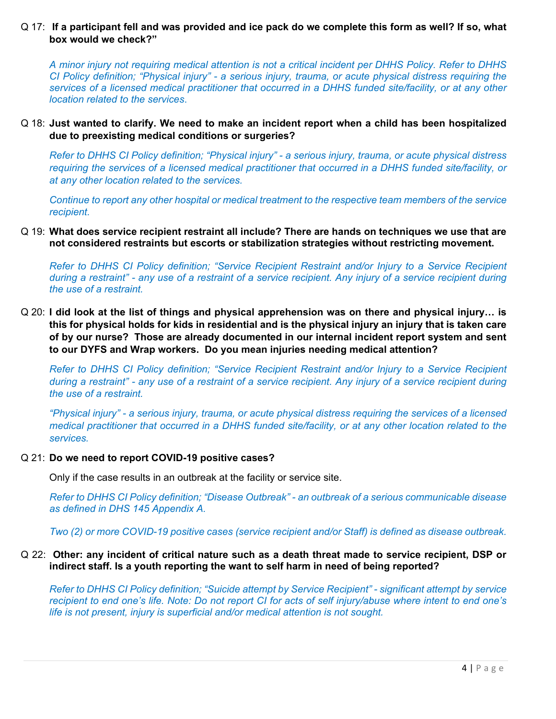# Q 17: **If a participant fell and was provided and ice pack do we complete this form as well? If so, what box would we check?"**

*A minor injury not requiring medical attention is not a critical incident per DHHS Policy. Refer to DHHS CI Policy definition; "Physical injury" - a serious injury, trauma, or acute physical distress requiring the services of a licensed medical practitioner that occurred in a DHHS funded site/facility, or at any other location related to the services*.

# Q 18: **Just wanted to clarify. We need to make an incident report when a child has been hospitalized due to preexisting medical conditions or surgeries?**

*Refer to DHHS CI Policy definition; "Physical injury" - a serious injury, trauma, or acute physical distress requiring the services of a licensed medical practitioner that occurred in a DHHS funded site/facility, or at any other location related to the services.*

*Continue to report any other hospital or medical treatment to the respective team members of the service recipient.*

Q 19: **What does service recipient restraint all include? There are hands on techniques we use that are not considered restraints but escorts or stabilization strategies without restricting movement.** 

*Refer to DHHS CI Policy definition; "Service Recipient Restraint and/or Injury to a Service Recipient during a restraint" - any use of a restraint of a service recipient. Any injury of a service recipient during the use of a restraint.*

Q 20: **I did look at the list of things and physical apprehension was on there and physical injury… is this for physical holds for kids in residential and is the physical injury an injury that is taken care of by our nurse? Those are already documented in our internal incident report system and sent to our DYFS and Wrap workers. Do you mean injuries needing medical attention?** 

*Refer to DHHS CI Policy definition; "Service Recipient Restraint and/or Injury to a Service Recipient during a restraint" - any use of a restraint of a service recipient. Any injury of a service recipient during the use of a restraint.*

*"Physical injury" - a serious injury, trauma, or acute physical distress requiring the services of a licensed medical practitioner that occurred in a DHHS funded site/facility, or at any other location related to the services.*

### Q 21: **Do we need to report COVID-19 positive cases?**

Only if the case results in an outbreak at the facility or service site.

*Refer to DHHS CI Policy definition; "Disease Outbreak" - an outbreak of a serious communicable disease as defined in DHS 145 Appendix A.*

*Two (2) or more COVID-19 positive cases (service recipient and/or Staff) is defined as disease outbreak.*

# Q 22: **Other: any incident of critical nature such as a death threat made to service recipient, DSP or indirect staff. Is a youth reporting the want to self harm in need of being reported?**

*Refer to DHHS CI Policy definition; "Suicide attempt by Service Recipient" - significant attempt by service recipient to end one's life. Note: Do not report CI for acts of self injury/abuse where intent to end one's life is not present, injury is superficial and/or medical attention is not sought.*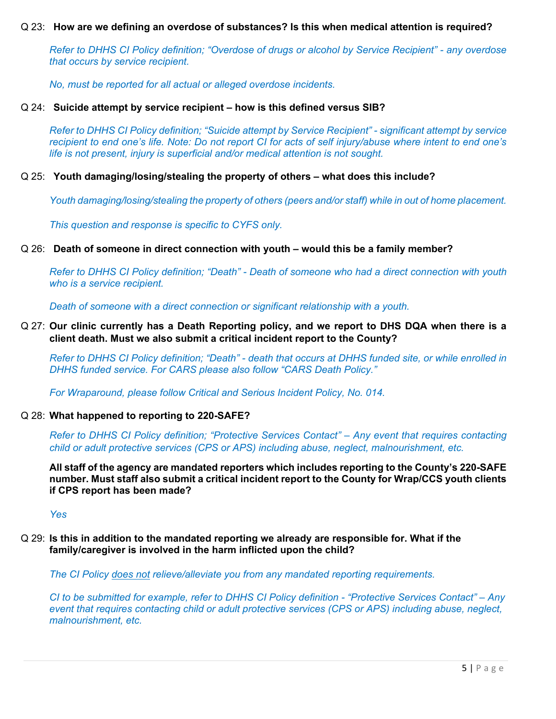### Q 23: **How are we defining an overdose of substances? Is this when medical attention is required?**

*Refer to DHHS CI Policy definition; "Overdose of drugs or alcohol by Service Recipient" - any overdose that occurs by service recipient.*

*No, must be reported for all actual or alleged overdose incidents.* 

### Q 24: **Suicide attempt by service recipient – how is this defined versus SIB?**

*Refer to DHHS CI Policy definition; "Suicide attempt by Service Recipient" - significant attempt by service recipient to end one's life. Note: Do not report CI for acts of self injury/abuse where intent to end one's life is not present, injury is superficial and/or medical attention is not sought.*

#### Q 25: **Youth damaging/losing/stealing the property of others – what does this include?**

*Youth damaging/losing/stealing the property of others (peers and/or staff) while in out of home placement.*

*This question and response is specific to CYFS only.*

#### Q 26: **Death of someone in direct connection with youth – would this be a family member?**

*Refer to DHHS CI Policy definition; "Death" - Death of someone who had a direct connection with youth who is a service recipient.*

*Death of someone with a direct connection or significant relationship with a youth.*

### Q 27: **Our clinic currently has a Death Reporting policy, and we report to DHS DQA when there is a client death. Must we also submit a critical incident report to the County?**

*Refer to DHHS CI Policy definition; "Death" - death that occurs at DHHS funded site, or while enrolled in DHHS funded service. For CARS please also follow "CARS Death Policy."*

*For Wraparound, please follow Critical and Serious Incident Policy, No. 014.*

#### Q 28: **What happened to reporting to 220-SAFE?**

*Refer to DHHS CI Policy definition; "Protective Services Contact" – Any event that requires contacting child or adult protective services (CPS or APS) including abuse, neglect, malnourishment, etc.*

**All staff of the agency are mandated reporters which includes reporting to the County's 220-SAFE number. Must staff also submit a critical incident report to the County for Wrap/CCS youth clients if CPS report has been made?**

*Yes*

Q 29: **Is this in addition to the mandated reporting we already are responsible for. What if the family/caregiver is involved in the harm inflicted upon the child?**

*The CI Policy does not relieve/alleviate you from any mandated reporting requirements.*

*CI to be submitted for example, refer to DHHS CI Policy definition - "Protective Services Contact" – Any event that requires contacting child or adult protective services (CPS or APS) including abuse, neglect, malnourishment, etc.*